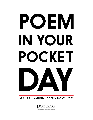# POEM IN YOUR POCKET

APRIL 29 | NATIONAL POETRY MONTH 2022



League of Canadian Poets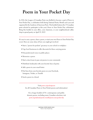## **Poem in Your Pocket Day**

In 2016, the League of Canadian Poets was thrilled to become a part of Poem in Your Pocket Day, a celebration held during National Poetry Month each year and organized by the Academy of American Poets. This booklet features the 15 Canadian poets selected to participate in this year's Poem in Your Pocket Day celebration! Bring this booklet to your office, your classroom, or your neighbourhood coffee shop to spread poetry on April 29, 2022!

It's easy to carry a poem, share a poem, or start your own Poem in Your Pocket Day event. Here are some ideas of how you might get involved:

- Start a "poems for pockets" giveaway in your school or workplace
- Urge local businesses to offer discounts for those carrying poems
- Post pocket-sized verses in public places
- Memorize a poem
- Start a street team to pass out poems in your community
- Distribute bookmarks with your favorite lines of poetry
- Add a poem to your email footer
- Post lines from your favorite poem on your Facebook, Instagram, Twitter, or Tumblr
- Send a poem to a friend

Visit **[poets.ca/pocketpoem](http://poets.ca/pocketpoem)** for all Canadian Poem in Your Pocket poems and information!

For a longer booklet of 30+ contemporary and public domain poems, including many Canadian selections visit **[poets.org/national-poetry-month/poem-your-pocket-day](https://www.poets.org/national-poetry-month/poem-your-pocket-day)**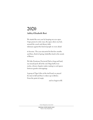## **2020 Ashley-Elizabeth Best**

We started the new year by keeping our eyes open. I tape poems to entry ways, the space above my bed, around the couch and dinner table talismans against the kind of people we were afraid

to become. The year miscarried its first few months and then, throb of spring, butterflies land in the snouts of flowers.

We hike Frontenac Provincial Park so long and hard, my toenail peels off at the end. Bugs huff at our necks, a frenzy of garter snakes mating in cool spaces between granite outcroppings.

A group of Tiger Lilies at the trail head; we prayed for stars to fall and they've taken up in ditches. From the point of empty

and we begin to fill.

*Grain Magazine, Issue 48.2*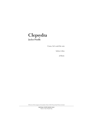# **Clepsydra**

**Jaclyn Piudik**

Come, let's wash the rain

before it dies

of thirst.

*Winner of the League of Canadian Poets' 2022 Very Small Verse Contest*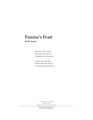### **Famine's Feast Keith Inman**

A sparrow hawk swoops glides up to the high wire clutching his harvest mouse

as spare row crops stoop outside under the skies fire crutching this hard-set house

*The Saving Bannister (2003) Synapse (2006) Canadian Cuba Literary Alliance (2013)*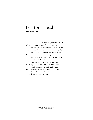## **For Your Head**

**Maureen Hynes**

 make a halo, a wreath, a circlet of bright green aspen leaves. Crown your dismal thoughts & unruly feelings with a tiara of thyme. Find small red things, a cranberry or rosehip or yew berry to trim your sorrow-filled week, to be the eyes that your eyes can't see out of. With grass dew, paste a rose petal on your forehead, and smear a lick of honey on each earlobe to sweeten whatever you hear. Breathe in jasmine scent to intensify your memories. Pick four small leaves one for Fear, one for Trust, one for Rage, the last for Desire. Lay each briefly on your tongue, to taste but not swallow. Open your mouth and let their power beam outward.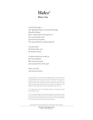## **Hafez1**

#### **Bänoo Zan**

I stood at the gates— The Roknabad Stream murmured through Mosalla Gardens<sup>2</sup> Roses scattered the morning breeze The sea kissed the boat and waved at the palace The king smiled at sycophant ghazals

I was the bard the blood of the city the breath of God—

Centuries later they would say that I loved Shiraz 3 But I feared tempests and remained true to the past

Open my book and read your future

*1. The fourteenth-century Iranian poet (ghazal writer). Iranians call him "The Mouthpiece of the Divine" and perform divinations with his Divan (collected poems). On important occasions, they form an intention or question in their mind, open the book, and interpret the ghazals on the page metaphorically according to their personal circumstances. The questions are usually about matters of significance, fate, love, etc.* 

*2. The Roknabad Stream and Mosalla Gardens were popular outings during Hafez's times* 

*3. It is said that Hafez's fame travelled beyond the boundaries of his hometown, Shiraz. A king sent him an invitation to board a ship and join his court. Hafez started preparations but in the last minute changed his mind. He is said to have never set foot outside Shiraz.* 

*Verse Afire A Tri-Annual Publication of the Ontario Poetry Society*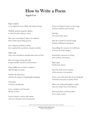## **How to Write a Poem**

#### **Angela Cen**

*Begin carefully* as you approach your writing with empirical rigor.

Dutifully perform linguistic algebra to solve for each unknown stanza.

Slice open etymological cadavers to replicate their emotion-generating genome.

You, a logician cloaked in artistry, have mastered the mechanics of poetic calculus.

*Stifle a sigh* when your calculations and dissections bear no fruit.

Run your tongue along self-made foreign melodies buried in archived epics.

Feign indifference as elusive eloquence slips through your grasp.

Swallow this dissonance and taste the sting of a long-forgotten language.

*Find solace* in literary cacophonies.

Carve a shadow out of text and fall into its abyss.

Learn to sketch a sunrise with similes and carve characters out of consonants. Train your fingers to dance across a page and leave behind a trail of words.

*Etch life* into each written piece.

Hide the warmth of a friend's laugh behind crackling onomatopoeia.

Camouflage the memory of an old home in frames of ornate imagery.

Immortalize moments in writing and seal them with rhyme.

*Begin again* but this time slower.

Savor the sticky-sweet sensation of the sentences you summon.

Listen as the *click-clack click* of your keyboard metronome becomes an iambic drum.

Allow your cluttered thoughts to unfurl into rows of tidy Times New Roman.

And maybe then you'll remember, how to write a poem.

*Winner of the 2021 Jessamy Stursberg Poetry Prize, Senior Category*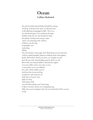## **Ocean Callista Markotich**

You who loved the daisied fields, behold this calving. No bleat, no blood on the straw, no salt-warm lick to life-affirming, long-legged wobble. This is ice, her abandoned spawn, her sundering cleavages brilliant under the sun, the thunderous drop, the plunge, bucking and rearing in aqua slurry, now groaning in the violence of labour, now the slap of spindrifts, now susurrating lullaby. You who dwelt by waters-edge, look. Waist-deep your iron benches, curlicues splash-spangled, patient as birthing chairs, laps lapping gentle. Wet beckon: shuck your shoes, you nymphs in molt, peel off your socks, skin-shedding serpents of the sea. Sit. Rest in the sun-warmed shallows. Beneath the ripples, cross your ankles, twine your calves as one, as mermaids' curves, your follicles her scales. Thirty million years it took from fins to arms and legs to pedicures and manicures in Pink Tutu or French. Now glide you deep with torque of tail, your hair like trailing weed. From lungs to lips to wavelets, stream your changeling song. Slide into ocean's turquoise hush. On your cheeks there'll be no rime of salt.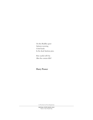On this Buddha quiet Autumn morning A bird lands In the dead Austrian pine.

How useful will I be After the curtain falls?

#### **Harry Posner**

*In The Event of True Happiness*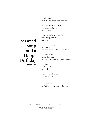A tradition for life, for death, and everything in between.

Narrowed into a warm bowl, with an emerald glow, and dark leaves.

My vision is adjusted to the shades, the intricacy of the recipe, and history.

## **Seaweed Soup and a Happy Birthday**

**Mark Kim**

A year of life passes, another bowl filled, and the aroma of vitality pollutes the day.

The broth of sea, greens of the water, and a reminder of my past, present, future.

The surface is broken, ripples undulate, and I'm back.

Mom asks how it tastes, it's good. A little salty. It doesn't matter.

Good morning, good night, and everything in between.

*Winner of the 2021 Jessamy Stursberg Poetry Prize, Junior Category*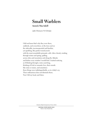## **Small Warblers**

#### **Annick MacAskill**

*(after Doireann Ní Ghríofa)*

I did not know that's why they were there, suddenly, and everywhere, in the trees and on the sidewalks, inconsequential and familiar, yet sparkling, like perfect round jewels with the most remarkable prismatic calls. Like a brook, winding through winter and spring, spilling across cities and mountains and along the Atlantic and before every window I would find. I started noticing, as if blinking through a mist, searching, thinking of God or romantic love, their sounds like noise or music, and sometimes these things were indistinguishable, as in a baby's cry. Their ordinariness does not diminish them. Now I tilt my head, and listen.

*Shadow Blight (Gaspereau Press, 2022)*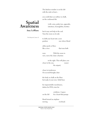The kitchen window is on the left with the sink in front—

you could draw an outline in chalk, on the cushioned tile

# **Spatial Awareness**

#### **Amy LeBlanc**

(with: arms, pinky toes, appendix,

intestines, hemoglobin, ferritin)

but it may not help in the end. Turn the room on its side

*The Maynard, Issue 15*

to shift your heart into a new position one where blood

either pools or flows like a river that runs both

ways. With the room in view, move the chair a fraction

to the right. This will place you closer to the sun, nearer the airport,

closer to tenderness. On second thought, draw

the body in chalk on the floor but make it your own. Solid lines

for impenetrable membranes, dashes for DNA, stars for

 cytokines. A space on the left for a heart that pumps

blood toward an airplane moving overhead.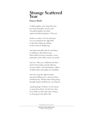## **Strange Scattered Year**

#### **Frances Boyle**

I cobble together some shape like stars, gas cloud of spangles, sensory noise a beautiful typeface of serifed angels and italicized galaxies. That year

declines to cohere. I'm out of practice even at reaching for the right shelf to take down fragments rattling in their sealer jar. Bright ring

and clamouring disk with its ovoid dance on tabletop or dark drift of space. Dust of that year toxic to breathe, I need particulate mask to filter it from my mouth

and nose. That year, melded by star-shine, stuck to those before and aft, adhesion of moist exhales. Trial and tributary, ribbon of spilled milk, and I gather it in handfuls,

sop it up, recap the edgewise static, staccato tumbling voices, and eerie dance of half-memory. Monitor dial inching along through situations half-heard, a moving line,

a pointing finger. Evidence in star systems we pretend are fixed—his belt, her chair. Try to slake my thirst with what, I believe, is a firm grip on the ladle's hilt.

*Parentheses Journal, Issue 8*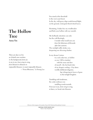## **The Hollow Tree**

**Anna Yin**

*There are days we live as if death were nowhere in the background; from joy to joy to joy, from wing to wing, from blossom to blossom to impossible blossom, to sweet impossible blossom.* —"From Blossoms," Li-Young Lee You stand at the threshold to the west coast forest. In the sky, wild geese align south-bound flight; on the ground, wind gusts thresh dried leaves.

Hesitating, I shake free my windbreaker and flesh your hollow with my warmth.

My foolhardy intention can only bar the cold fleetingly, *I wonder what would save you from the bitterness of blizzards after late autumn.* The sunlight softly strokes you, deepening our shivering shadow.

In my dream I return to a red cedar tree, as hollow as you. I fill in stardust with the moss and dew of myself—the hot harsh skin of my despair cooling—I lay down worldly *deliberate disguises,* lips whispering to leaves of grass in *the twilight kingdom.*

*Trembling with tenderness,*  the cedar embraces me instilling womb-warmth. *From joy to joy, from wing to wing,* at dawn, we break into blossom.

*Winner of the League of Canadian Poets 2022 National Broadsheet Contest*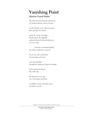# **Vanishing Point**

#### **Marlene Grand MaÏtre**

She finds the last chinook, washed up on Sombrio Beach, carries it home

to ink its body, cover with rice paper. Blue gyotaku: her hands

stroke the scales and ridges, lift the prints. By nightfall, a ghost school of chinook shimmers on every wall.

In home's uncharted depths, she wakes underwater, pierced

by an orca call, a pulsebeat of mourning, as the last

cow and calf glide through the bedroom, drawn by hunger

to the phantom salmon. She will wake

five thousand years ago, on a Norwegian shoreline,

mesolithic woman, the first carver of whales on rock.

*Refugium: Poems For The Pacific (Caitlin Press, 2017)*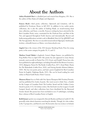## **About the Authors**

**Ashley-Elizabeth Best** is a disabled poet and essayist from Kingston, ON. She is the author of *Slow States of Collapse* and *Alignment*.

**Frances Boyle**'s third poetry collection, *Openwork and Limestone*, will be published by Frontenac House in fall 2022. In addition to two earlier poetry collections, she is also the author of *Seeking Shade*, an award-winning short story collection, and *Tower*, a novella. Frances's writing has been selected for the Best Canadian Poetry series, nominated for the Pushcart Prize and Best of the Net, and appeared throughout North America and internationally. Recent and forthcoming publications include work in *Blackbird, Paris Lit Up, QWERTY* and *The New Quarterly*. She lives on unceded unsurrendered Algonquin Anishinaabe territory, colonially known as Ottawa. www.francesboyle.com.

**Angela Cen** is the winner of the 2021 Jessamy Stursberg Poetry Prize for young poets, in the senior category for grades 10, 11, and 12.

**Marlene Grand Maître**'s chapbook, *Cancer's Rogue Season,* was published by Frog Hollow Press in April 2020. Her poetry has also appeared in many literary journals, most recently in *Prairie Fire, CV2, Event*, and *Freefall*. Poems have also been published in eight anthologies, including *I Found It At The Movies* (Guernica, 2014), *Refugium: Poems For The Pacific* (Caitlin Press, 2017), *Sweet Water: Poems For The Watersheds* (Caitlin Press, 2020), and *Voicing Suicide* (Ekstasis Editions, 2020). She has won poetry prizes, and had a poem longlisted for Best Canadian Poetry In English (Tightrope Books, 2011). She can be heard reading her work online in Planet Earth Poetry's Poets' Caravan.

**Maureen Hynes** lives in Dish with One Spoon Wampum Belt Territory/Toronto, and has published five books of poetry. Her most recent is *Sotto Voce*, a finalist for the League of Canadian Poets' Pat Lowther Award and the Golden Crown Award in poetry (U.S.) for lesbian writers. Her first book won the League's Gerald Lampert Award, and other collections have been shortlisted for the Raymond Souster Award. Her poems have been included in over 25 anthologies, including three volumes of Best Canadian Poetry in English.

**Keith Inman**'s poetry was compared to Atwood, Boyden and Itani in Canlit 223. He generally writes about characters searching for identity. Though, he's also written in the 'I' perspective, and that of a rock. His favourite class was on Joyce in Ireland;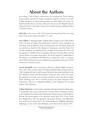## **About the Authors**

best reading, a cafe in Spain; coolest invite, LA; swankiest due, Swiss Embassy; largest reading, opening for Niagara Symphony; poignant moment, his mentor Tsigane pointing at an impressionist painting in a major gallery and saying, 'you should write like that in your blue collar style;' best rescue, Dr. Elspeth Cameron telling him that it is all worth it. Inman has six books of poetry published. Home is Thorold, Ontario.

**Mark Kim** is the winner of the 2021 Jessamy Stursberg Poetry Prize for young poets, in the junior category for grades 7, 8, and 9.

**Amy LeBlanc** is Managing Editor at *filling Station magazine* and a PhD student at the University of Calgary. Her debut poetry collection, *I know something you don't know* (Gordon Hill Press 2020) was long listed for the 2021 ReLit Award and was selected as a finalist for the Stephan G. Stephansson Award for Poetry. Her novella, *Unlocking*, was published by the UCalgary Press in June 2021. Her work has appeared or is forthcoming in *Canadian Literature, Funicular, Room*, and the *Literary Review of Canada* among others. Her third chapbook, *Undead Juliet at the Museum*, was published with ZED Press in August 2021. Amy is a recipient of the 2020 Lieutenant Governor of Alberta Emerging Artist Award and a CGS-D award for her doctoral research.

**Annick MacAskill**'s most recent poetry collection is *Shadow Blight* (Gaspereau Press, 2022). She is also the author of *No Meeting Without Body* (Gaspereau Press, 2018), longlisted for the Gerald Lampert Memorial Award and shortlisted for the J.M. Abraham Award, and *Murmurations* (Gaspereau Press, 2020). Her poetry has appeared in journals across Canada and abroad, and in the Best Canadian Poetry anthology series. She is currently serving as Arc Poetry Magazine's Poetin-Residence. She lives in Kjipuktuk (Halifax) on the traditional and unceded territory of the Mi'kmaq.

**Callista Markotich,** retired teacher, principal and Superintendent of Education, lives gratefully at the source of the great St. Lawrence River in Kingston, Ontario, on the traditional homeland of the Anishinaabe, Haudenosaunee and the Huron-Wendat. Her poems appear in *Arc* (Awesome Award, June 2021), *Grain, Prairie Fire, Riddle Fence, The New Quarterly* (Honorable Mention, Nick Blatchford Occasional Verse Contest, 2021), *The Nashwaak Review, Saddlebag Dispatches, Pilgrimage*, in a few ezines and anthologies, and in *Room* (Poetry Award, 2019).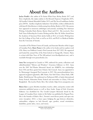## **About the Authors**

**Jaclyn Piudik** is the author of *To Suture What Frays* (Kelsay Books 2017) and three chapbooks, *the corpus undone in the blizzard* (Espresso Chapbooks 2019), *Of Gazelles Unheard* (Beautiful Outlaw 2013) and *The Tao of Loathliness* (fooliar press 2005/8). Another chapbook, *Seduction: Out of Eden*, written collaboratively with Janet R. Kirchheimer is forthcoming from Kelsay Books in 2022. Her poems have appeared in numerous anthologies and journals, including *New American Writing, Columbia Poetry Review, Barrow Street* and *CV2*. She received a New York Times Fellowship for Creative Writing and the Alice M. Sellers Award from the Academy of American Poets. Jaclyn holds an M.A. in Creative Writing from the City College of New York, as well as an M.A. and Ph.D. in Medieval Studies from the University of Toronto.

A member of The Writers Union of Canada, and Associate Member of the League of Canadian Poets, **Harry Posner** is the author of six books and two spoken word CDs. Harry was Dufferin County's Poet Laureate from 2017-2022. He organized and hosted the annual Day of the Poets festival in Orangeville, Ontario. Harry is co-host with Peter Noce of The Sill podcast (www.thesillpodcast.com), and is reachable through www.posnerbooks.com.

**Anna Yin** immigrated to Canada in 1999, authored five poetry collections and edited/translated "Mirrors and Windows" (Guernica Editions) in 2021. Anna won the 2005 Ted Plantos Memorial Award, two MARTYs, two scholarships from USA and three grants from Ontario Arts Council. Anna was appointed to be Mississauga's Inaugural Poet Laureate in 2015. Her poems/translations have appeared at *Queen's Quarterly, ARC Poetry, New York Times, China Daily, CBC Radio, World Journal*. She performed on Parliament Hill, at Austin International Poetry Festival, Edmonton Poetry Festival and universities in China, USA and Bangladesh. She teaches Poetry Alive. Her website: https://www.annapoetry.com

**Bänoo Zan** is a poet, librettist, translator, teacher, editor, and poetry curator with numerous published poems as well as three books. *Songs of Exile* (Guernica Editions) was shortlisted for The Gerald Lampert Memorial Award by the League of Canadian Poets. *Letters to My Father* was published by Piquant Press. She is the founder of Shab-e She'r, Toronto's most diverse poetry and open mic series (inception: 2012)—a brave space bridging the gap between ethnicities, nationalities, religions (or lack thereof), ages, genders, sexual orientations, disabilities, poetic styles, voices, and visions.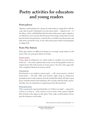## **Poetry activities for educators and young readers**

#### **Poetry-palooza**

Organize a poetry-palooza for a group of young readers to engage them with the many sides to poetry. Participants can read a poem aloud — original or not — to the others, or they could distribute their favourite written poem–again, original or not. But there's more to poetry than the poems! Encourage young readers to write fanmail to their favourite poets, or take the fun even farther away from poetry and hide poems around the room, or have other poetry game stations for participants to engage with.

#### **Poetry Play Stations**

Poetry play stations use different techniques to encourage young readers to craft poems. Here are some great stations to include:

#### **[Erasure poetry](https://www.pinterest.com/allradddd/erasure-poetry/)**

Using a page of existing text, use a black marker to complete cross out sections of the text — the words or phrases that remain can be strung together to form an original poem! Part of the beauty of erasure poem is how the entire page looks when completed, blacked-out sections and all.

#### **[Found poetry](https://www.poets.org/poetsorg/text/found-poem-poetic-form)**

Found poetry is very similar to erasure poetry  $-$  well, erasure poetry is a kind of found poetry — but with a little more freedom. Again using an existing text, participants select words or phrases from the text that they think will make a great poem: using the found words and phrases, they can play with line breaks, stanzas, and other ways of construction an original poem from the found text!

#### **[Book spine poetry](https://www.pinterest.com/pspl/book-spine-poetry/)**

This is a great poetic experiment that takes over Twitter every April — using as few as three or as many as…well, as many as you can stack, create a poem using the titles of books as they appear on the spines. These make excellent photos and are great for sharing on social media!

Poetry activities for educators and young readers 1/3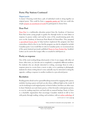#### **Poetry Play Stations Continued**

#### **[Magnet poetry](https://magneticpoetry.com/)**

A classic! Choosing words from a pile of individual words to string together an original poem. This could be from a **[magnetic poetry set](https://magneticpoetry.com/)**, but you could also simply **[prepare an assortment of words](https://i.pinimg.com/736x/9d/a2/1b/9da21b4d4fba1d418b23667c3651a5bd.jpg)** for participants to choose from.

#### **Dear Poet**

**[Dear Poet](https://www.poets.org/national-poetry-month/dear-poet-project-2019)** is a multimedia education project from the Academy of American Poets that invites young people in grades five through twelve to write letters in response to poems written and read by some of the award-winning poets who serve on the Academy of American Poets Board of Chancellors. They prepared **[a specialized lesson plan](https://poets.org/lesson-plan/dear-poet-2020-lesson-plan)** to help teachers implement this program into their curriculum–which is free to use–but the program can also be adopted to include Canadian poets. f you would like to write to Canadian poets, we recommend any of the poets featured previously published **[Poem in Your Pocket Day](http://poets.ca/pocketpoem/)** booklets! Letters can be sent to the League office or emailed to info@poets.ca.

#### **Poetry as response**

One of the most exciting things about poetry is how it can engage with other art forms: other texts, yes, but also art in completely a completely different medium. For students who are already interested in writing, encourage them to write a response poem to a scene from a movie or play, or to a painting or photograph; students for whom writing doesn't come naturally may be interested in doing the opposite, crafting a response in another medium to a pre-selected poem.

#### **Recitation**

Reading poetry aloud can be a groundbreaking moment for engaging with a poem; similarly, hearing a poem out loud can also shine a different light on the words. It can be terrifying to read original poetry in front of others, but there are other ways to share! Students can read classic poems, or their favourite contemporary poems, or even try reading song lyrics out loud with no musical backup. Poetry in Voice is a charitable organization that encourages Canadian students to fall in love with poetry through reading, writing, and recitation, with an **[online anthology](https://www.poetryinvoice.com/poems)** of

continued on next page  $\rightarrow$ 

Poetry activities for educators and young readers 2/3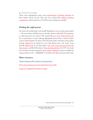$\leftarrow$  continued from last page

classic and contemporary poems and **[comprehensive teaching materials](https://www.poetryinvoice.com/teachers)** on their website, all free of cost. They also run a nation-wide **[student recitation](https://www.poetryinvoice.com/competitions) [competition](https://www.poetryinvoice.com/competitions)**, which awards over \$75,000 in travel and prizes annually.

#### **Finding the right poems**

Of course, the hardest part is not usually finding fun ways to teach young readers — all you teachers and librarians are already experts in that field. The questions is, what poems do you choose? The annual **[Poem in Your Pocket Day book](http://poets.ca/pocketpoem/)[let](http://poets.ca/pocketpoem/)** is a great place to start, with age appropriate poems from a variety of poets across Canada and the US. Some of our favourite poetry meant for young readers include *[Alligator Pie](https://www.chapters.indigo.ca/en-ca/books/alligator-pie-classic-edition/9781443411516-item.html)* by Dennis Lee (yes, that Dennis Lee!), Dr. Seuss, Louis Carroll's *[Jabberwocky](https://www.chapters.indigo.ca/en-ca/books/jabberwocky-and-other-nonsense-collected/9780141192789-item.html?ikwid=jabberwocky&ikwsec=Books&ikwidx=1)* (or, for that matter, **[any of the songs and poems from the](https://www.chapters.indigo.ca/en-ca/books/jabberwocky-and-other-nonsense-collected/9780141192789-item.html?ikwid=jabberwocky&ikwsec=Books&ikwidx=1)  [Alice books](https://www.chapters.indigo.ca/en-ca/books/jabberwocky-and-other-nonsense-collected/9780141192789-item.html?ikwid=jabberwocky&ikwsec=Books&ikwidx=1)**), and Shel Silverstein's *[Where the Sidewalk Ends](https://www.chapters.indigo.ca/en-ca/books/where-the-sidewalk-ends-poems/9780060572341-item.html?ikwid=where+the+sidewalk+ends&ikwsec=Books&ikwidx=0)*. For 2017, the Academy of American Poets prepared a great **[online anthology](https://www.poets.org/poetsorg/lesson/national-poetry-month-poster-2017)** of poems suitable for young readers as well — delightfully, it includes more than one poem about cake.

#### **More resources**

**[Classroom tips from the Academy of American Poets](https://poets.org/lesson-plans-theme)**

**[Poetry class learning resources from the Poetry Society \(UK\)](http://resources.poetrysociety.org.uk/)**

**[League of Canadian Poets Teachers' Lounge](http://poets.ca/teachers/)**

Poetry activities for educators and young readers 3/3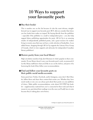## **10 Ways to support your favourite poets**

#### **q Buy their books!**

This is number one on the list because it's also the most obvious, straightforward way to support your favourite poet. BUT, did you consider that where you buy books from makes an impact? By buying directly from the publisher – especially if the publisher is a small or independent press – you also help support future publishing opportunities for poets. All Lit Up is an amazing retailer of independently published poetry, and a great resource for readers living in remote areas that may not have a wide selection of booksellers. As an added bonus, shopping through All Lit Up supports the Literary Press Group of Canada, which in turn supports and advocates for independent Canadian literary publishers!

#### **w Borrow poetry from your local library!**

High circulation numbers help alert librarians to what's popular in their community. If your library doesn't carry your favourite poet's work, recommend it! Let the library staff know what you'd like to see on the shelves, and prove it by borrowing the book if they follow your recommendation.

#### **e Find and follow your favourite poets on their public social media accounts.**

Some poets have Twitter, Facebook, and/or Instagram, some don't. But if they do, follow them and share their content that excites you. Whether they have social media or not, you can always post about their poetry on your platform of choice. Make public recommendations, write about 2019 PIYP day booklet – supplementary material how you've connected to their work and what it means to you, post about their readings (even the ones you'll sadly have to miss because they're taking place out of town).

10 Ways to support your favourite poets 1/3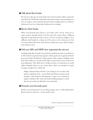#### **r Talk about their books.**

We may be in the age of social media, but word of mouth is still an extremely powerful tool! Tell friends and family about their books, recommend them to your co-workers, read your favourite poet's books in public places (we all know bookworms love to see what other bookworms are reading).

#### $\bullet$  Review their books.

When your favourite poet releases a new book, write a review. There are so many avenues through which to do this and each avenue offers a different approach or expectation for the reviewer. A review on Amazon, Indigo, or GoodReads could simply be a rating out of five stars or a few sentences on what you enjoyed about the book. Some literary websites have open calls for longer, more formal reviews.

#### **y Tell your MPs and MPPs how important the arts are!**

Funding bodies like Canada Council for the Arts/Ontario Arts Council/Toronto Arts Council are government agencies. Many poets rely on grants and funding as part of their livelihood. A large portion of the League's funding comes from these bodies, too. Social media makes it easier than ever to contact your local politicians. They likely have a Twitter account, or at least have an email address through which you can contact them. Here's an example of a quick message of support you could send:

*Happy National Poetry Month! I am writing to let you know that poetry is important to me – as are all the arts! Poetry connects us and provides a vital outlet for self-expression. I urge you to continue to support initiatives like (insert provincial funding program) so that the arts can continue to flourish in our community.*

#### **u Promote your favourite poet!**

Feature your favourite poet on your blog, podcast, zine, or other publication! Reach out for an interview – it never hurts to ask!

10 Ways to support your favourite poets 2/3